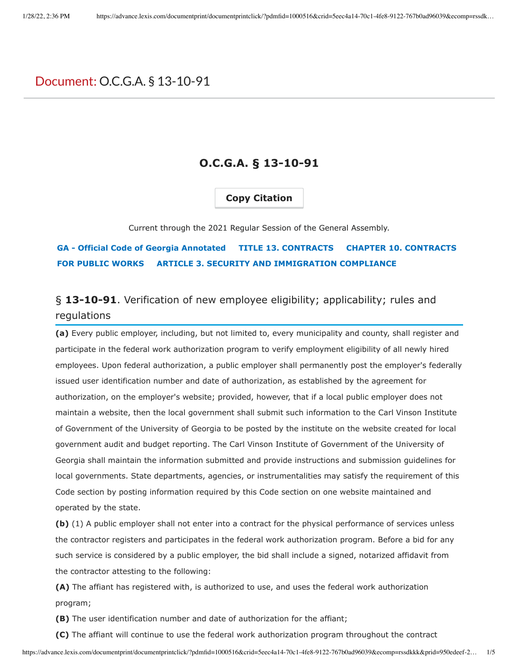# Document: O.C.G.A. § 13-10-91

### **O.C.G.A. § 13-10-91**

### **Copy Citation**

Current through the 2021 Regular Session of the General Assembly.

## **GA - Official Code of Georgia Annotated TITLE 13. CONTRACTS CHAPTER 10. CONTRACTS FOR PUBLIC WORKS ARTICLE 3. SECURITY AND IMMIGRATION COMPLIANCE**

# § **13-10-91**. Verification of new employee eligibility; applicability; rules and regulations

**(a)** Every public employer, including, but not limited to, every municipality and county, shall register and participate in the federal work authorization program to verify employment eligibility of all newly hired employees. Upon federal authorization, a public employer shall permanently post the employer's federally issued user identification number and date of authorization, as established by the agreement for authorization, on the employer's website; provided, however, that if a local public employer does not maintain a website, then the local government shall submit such information to the Carl Vinson Institute of Government of the University of Georgia to be posted by the institute on the website created for local government audit and budget reporting. The Carl Vinson Institute of Government of the University of Georgia shall maintain the information submitted and provide instructions and submission guidelines for local governments. State departments, agencies, or instrumentalities may satisfy the requirement of this Code section by posting information required by this Code section on one website maintained and operated by the state.

**(b)** (1) A public employer shall not enter into a contract for the physical performance of services unless the contractor registers and participates in the federal work authorization program. Before a bid for any such service is considered by a public employer, the bid shall include a signed, notarized affidavit from the contractor attesting to the following:

**(A)** The affiant has registered with, is authorized to use, and uses the federal work authorization program;

**(B)** The user identification number and date of authorization for the affiant;

**(C)** The affiant will continue to use the federal work authorization program throughout the contract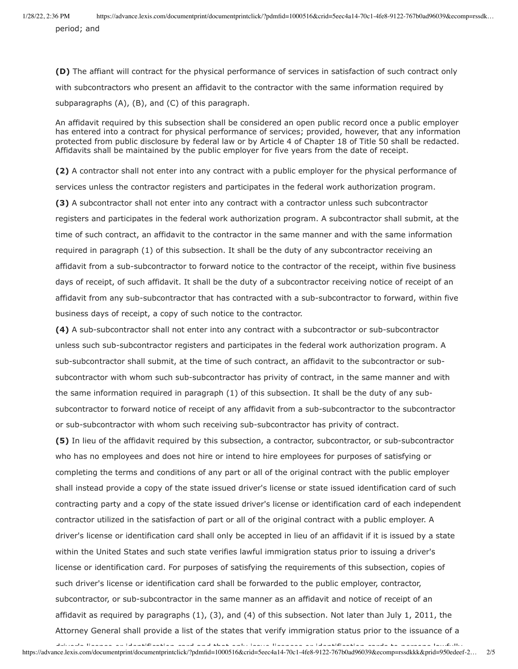period; and

**(D)** The affiant will contract for the physical performance of services in satisfaction of such contract only with subcontractors who present an affidavit to the contractor with the same information required by subparagraphs (A), (B), and (C) of this paragraph.

An affidavit required by this subsection shall be considered an open public record once a public employer has entered into a contract for physical performance of services; provided, however, that any information protected from public disclosure by federal law or by Article 4 of Chapter 18 of Title 50 shall be redacted. Affidavits shall be maintained by the public employer for five years from the date of receipt.

**(2)** A contractor shall not enter into any contract with a public employer for the physical performance of services unless the contractor registers and participates in the federal work authorization program.

**(3)** A subcontractor shall not enter into any contract with a contractor unless such subcontractor registers and participates in the federal work authorization program. A subcontractor shall submit, at the time of such contract, an affidavit to the contractor in the same manner and with the same information required in paragraph (1) of this subsection. It shall be the duty of any subcontractor receiving an affidavit from a sub-subcontractor to forward notice to the contractor of the receipt, within five business days of receipt, of such affidavit. It shall be the duty of a subcontractor receiving notice of receipt of an affidavit from any sub-subcontractor that has contracted with a sub-subcontractor to forward, within five business days of receipt, a copy of such notice to the contractor.

**(4)** A sub-subcontractor shall not enter into any contract with a subcontractor or sub-subcontractor unless such sub-subcontractor registers and participates in the federal work authorization program. A sub-subcontractor shall submit, at the time of such contract, an affidavit to the subcontractor or subsubcontractor with whom such sub-subcontractor has privity of contract, in the same manner and with the same information required in paragraph (1) of this subsection. It shall be the duty of any subsubcontractor to forward notice of receipt of any affidavit from a sub-subcontractor to the subcontractor or sub-subcontractor with whom such receiving sub-subcontractor has privity of contract.

**(5)** In lieu of the affidavit required by this subsection, a contractor, subcontractor, or sub-subcontractor who has no employees and does not hire or intend to hire employees for purposes of satisfying or completing the terms and conditions of any part or all of the original contract with the public employer shall instead provide a copy of the state issued driver's license or state issued identification card of such contracting party and a copy of the state issued driver's license or identification card of each independent contractor utilized in the satisfaction of part or all of the original contract with a public employer. A driver's license or identification card shall only be accepted in lieu of an affidavit if it is issued by a state within the United States and such state verifies lawful immigration status prior to issuing a driver's license or identification card. For purposes of satisfying the requirements of this subsection, copies of such driver's license or identification card shall be forwarded to the public employer, contractor, subcontractor, or sub-subcontractor in the same manner as an affidavit and notice of receipt of an affidavit as required by paragraphs  $(1)$ ,  $(3)$ , and  $(4)$  of this subsection. Not later than July 1, 2011, the Attorney General shall provide a list of the states that verify immigration status prior to the issuance of a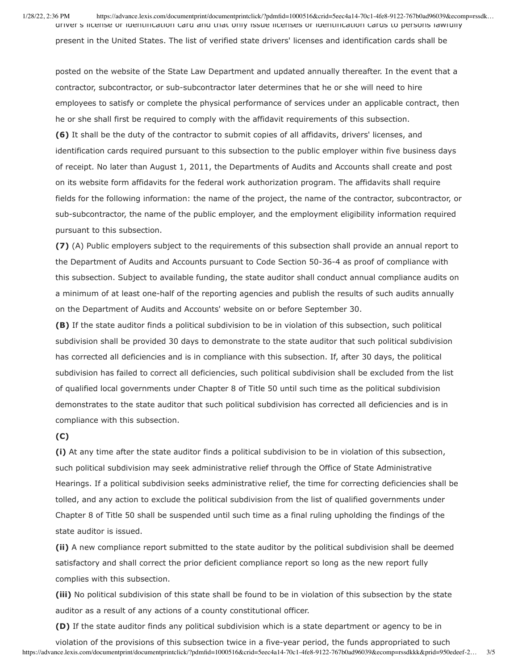1/28/22, 2:36 PM https://advance.lexis.com/documentprint/documentprintclick/?pdmfid=1000516&crid=5eec4a14-70c1-4fe8-9122-767b0ad96039&ecomp=rssdk… driver's license or identification card and that only issue licenses or identification cards to persons lawfully

present in the United States. The list of verified state drivers' licenses and identification cards shall be

posted on the website of the State Law Department and updated annually thereafter. In the event that a contractor, subcontractor, or sub-subcontractor later determines that he or she will need to hire employees to satisfy or complete the physical performance of services under an applicable contract, then he or she shall first be required to comply with the affidavit requirements of this subsection.

**(6)** It shall be the duty of the contractor to submit copies of all affidavits, drivers' licenses, and identification cards required pursuant to this subsection to the public employer within five business days of receipt. No later than August 1, 2011, the Departments of Audits and Accounts shall create and post on its website form affidavits for the federal work authorization program. The affidavits shall require fields for the following information: the name of the project, the name of the contractor, subcontractor, or sub-subcontractor, the name of the public employer, and the employment eligibility information required pursuant to this subsection.

**(7)** (A) Public employers subject to the requirements of this subsection shall provide an annual report to the Department of Audits and Accounts pursuant to Code Section 50-36-4 as proof of compliance with this subsection. Subject to available funding, the state auditor shall conduct annual compliance audits on a minimum of at least one-half of the reporting agencies and publish the results of such audits annually on the Department of Audits and Accounts' website on or before September 30.

**(B)** If the state auditor finds a political subdivision to be in violation of this subsection, such political subdivision shall be provided 30 days to demonstrate to the state auditor that such political subdivision has corrected all deficiencies and is in compliance with this subsection. If, after 30 days, the political subdivision has failed to correct all deficiencies, such political subdivision shall be excluded from the list of qualified local governments under Chapter 8 of Title 50 until such time as the political subdivision demonstrates to the state auditor that such political subdivision has corrected all deficiencies and is in compliance with this subsection.

#### **(C)**

**(i)** At any time after the state auditor finds a political subdivision to be in violation of this subsection, such political subdivision may seek administrative relief through the Office of State Administrative Hearings. If a political subdivision seeks administrative relief, the time for correcting deficiencies shall be tolled, and any action to exclude the political subdivision from the list of qualified governments under Chapter 8 of Title 50 shall be suspended until such time as a final ruling upholding the findings of the state auditor is issued.

**(ii)** A new compliance report submitted to the state auditor by the political subdivision shall be deemed satisfactory and shall correct the prior deficient compliance report so long as the new report fully complies with this subsection.

**(iii)** No political subdivision of this state shall be found to be in violation of this subsection by the state auditor as a result of any actions of a county constitutional officer.

**(D)** If the state auditor finds any political subdivision which is a state department or agency to be in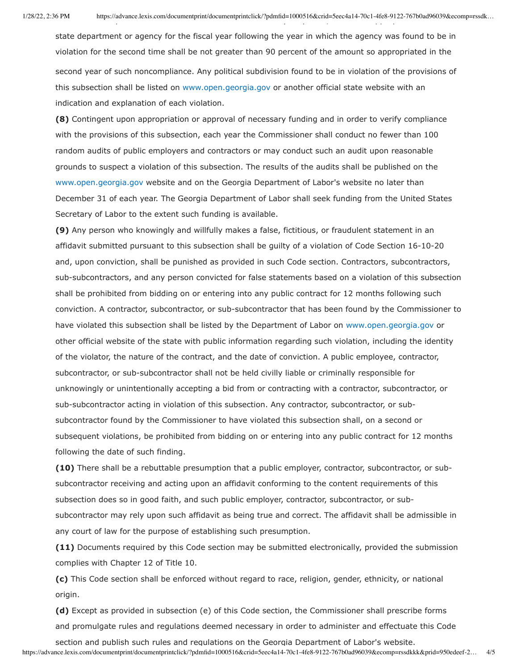state department or agency for the fiscal year following the year in which the agency was found to be in violation for the second time shall be not greater than 90 percent of the amount so appropriated in the second year of such noncompliance. Any political subdivision found to be in violation of the provisions of this subsection shall be listed on [www.open.georgia.gov](http://www.open.georgia.gov/) or another official state website with an indication and explanation of each violation.

**(8)** Contingent upon appropriation or approval of necessary funding and in order to verify compliance with the provisions of this subsection, each year the Commissioner shall conduct no fewer than 100 random audits of public employers and contractors or may conduct such an audit upon reasonable grounds to suspect a violation of this subsection. The results of the audits shall be published on the [www.open.georgia.gov](http://www.open.georgia.gov/) website and on the Georgia Department of Labor's website no later than December 31 of each year. The Georgia Department of Labor shall seek funding from the United States Secretary of Labor to the extent such funding is available.

**(9)** Any person who knowingly and willfully makes a false, fictitious, or fraudulent statement in an affidavit submitted pursuant to this subsection shall be guilty of a violation of Code Section 16-10-20 and, upon conviction, shall be punished as provided in such Code section. Contractors, subcontractors, sub-subcontractors, and any person convicted for false statements based on a violation of this subsection shall be prohibited from bidding on or entering into any public contract for 12 months following such conviction. A contractor, subcontractor, or sub-subcontractor that has been found by the Commissioner to have violated this subsection shall be listed by the Department of Labor on [www.open.georgia.gov](http://www.open.georgia.gov/) or other official website of the state with public information regarding such violation, including the identity of the violator, the nature of the contract, and the date of conviction. A public employee, contractor, subcontractor, or sub-subcontractor shall not be held civilly liable or criminally responsible for unknowingly or unintentionally accepting a bid from or contracting with a contractor, subcontractor, or sub-subcontractor acting in violation of this subsection. Any contractor, subcontractor, or subsubcontractor found by the Commissioner to have violated this subsection shall, on a second or subsequent violations, be prohibited from bidding on or entering into any public contract for 12 months following the date of such finding.

**(10)** There shall be a rebuttable presumption that a public employer, contractor, subcontractor, or subsubcontractor receiving and acting upon an affidavit conforming to the content requirements of this subsection does so in good faith, and such public employer, contractor, subcontractor, or subsubcontractor may rely upon such affidavit as being true and correct. The affidavit shall be admissible in any court of law for the purpose of establishing such presumption.

**(11)** Documents required by this Code section may be submitted electronically, provided the submission complies with Chapter 12 of Title 10.

**(c)** This Code section shall be enforced without regard to race, religion, gender, ethnicity, or national origin.

**(d)** Except as provided in subsection (e) of this Code section, the Commissioner shall prescribe forms and promulgate rules and regulations deemed necessary in order to administer and effectuate this Code